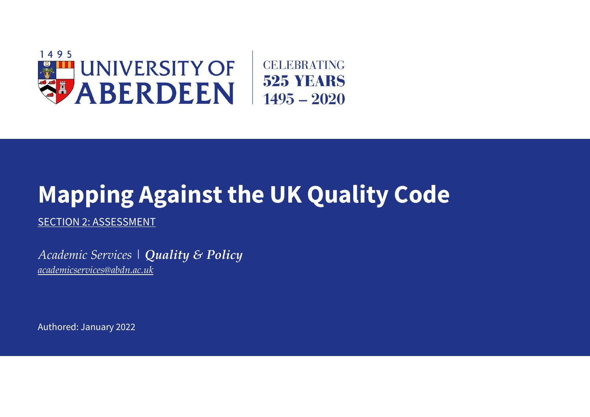

## **Mapping Against the UK Quality Code**

SECTION 2: ASSESSMENT

*Academic Services | Quality & Policy [academicservices@abdn.ac.uk](mailto:academicservices@abdn.ac.uk)*

Authored: January 2022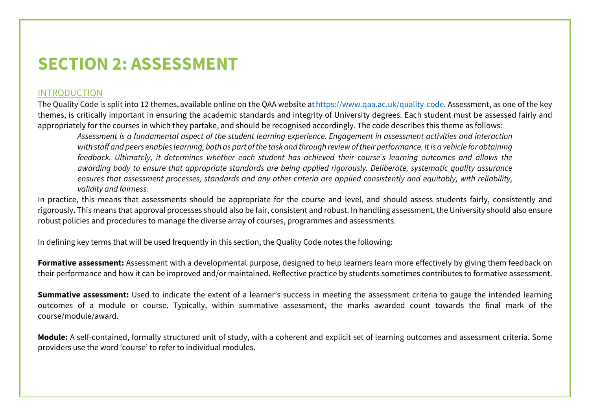## **SECTION 2: ASSESSMENT**

## INTRODUCTION

The Quality Code is split into 12 themes, available online on the QAA website at https://www.qaa.ac.uk/quality-code. Assessment, as one of the key themes, is critically important in ensuring the academic standards and integrity of University degrees. Each student must be assessed fairly and appropriately for the courses in which they partake, and should be recognised accordingly. The code describes this theme as follows:

*Assessment is a fundamental aspect of the student learning experience. Engagement in assessment activities and interaction with staff and peers enables learning, both as part of the task and through review of their performance. It is a vehicle for obtaining feedback. Ultimately, it determines whether each student has achieved their course's learning outcomes and allows the awarding body to ensure that appropriate standards are being applied rigorously. Deliberate, systematic quality assurance ensures that assessment processes, standards and any other criteria are applied consistently and equitably, with reliability, validity and fairness.*

In practice, this means that assessments should be appropriate for the course and level, and should assess students fairly, consistently and rigorously. This means that approval processes should also be fair, consistent and robust. In handling assessment, the University should also ensure robust policies and procedures to manage the diverse array of courses, programmes and assessments.

In defining key terms that will be used frequently in this section, the Quality Code notes the following: 

**Formative assessment:** Assessment with a developmental purpose, designed to help learners learn more effectively by giving them feedback on their performance and how it can be improved and/or maintained. Reflective practice by students sometimes contributes to formative assessment.

**Summative assessment:** Used to indicate the extent of a learner's success in meeting the assessment criteria to gauge the intended learning outcomes of a module or course. Typically, within summative assessment, the marks awarded count towards the final mark of the course/module/award.

**Module:** A self-contained, formally structured unit of study, with a coherent and explicit set of learning outcomes and assessment criteria. Some providers use the word 'course' to refer to individual modules.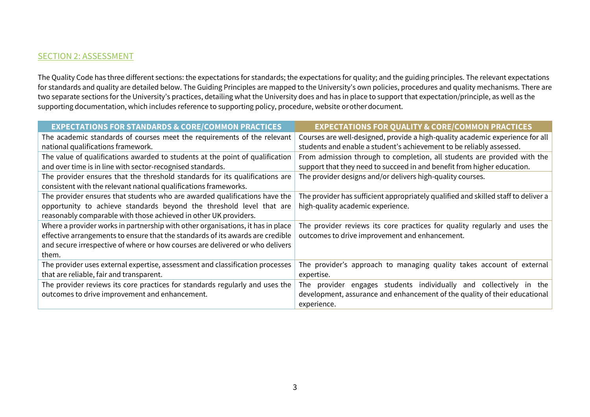## SECTION 2: ASSESSMENT

The Quality Code has three different sections: the expectations for standards; the expectations for quality; and the guiding principles. The relevant expectations for standards and quality are detailed below. The Guiding Principles are mapped to the University's own policies, procedures and quality mechanisms. There are two separate sections for the University's practices, detailing what the University does and has in place to support that expectation/principle, as well as the supporting documentation, which includes reference to supporting policy, procedure, website or other document.  

| <b>EXPECTATIONS FOR STANDARDS &amp; CORE/COMMON PRACTICES</b>                   | <b>EXPECTATIONS FOR QUALITY &amp; CORE/COMMON PRACTICES</b>                        |
|---------------------------------------------------------------------------------|------------------------------------------------------------------------------------|
| The academic standards of courses meet the requirements of the relevant         | Courses are well-designed, provide a high-quality academic experience for all      |
| national qualifications framework.                                              | students and enable a student's achievement to be reliably assessed.               |
| The value of qualifications awarded to students at the point of qualification   | From admission through to completion, all students are provided with the           |
| and over time is in line with sector-recognised standards.                      | support that they need to succeed in and benefit from higher education.            |
| The provider ensures that the threshold standards for its qualifications are    | The provider designs and/or delivers high-quality courses.                         |
| consistent with the relevant national qualifications frameworks.                |                                                                                    |
| The provider ensures that students who are awarded qualifications have the      | The provider has sufficient appropriately qualified and skilled staff to deliver a |
| opportunity to achieve standards beyond the threshold level that are            | high-quality academic experience.                                                  |
| reasonably comparable with those achieved in other UK providers.                |                                                                                    |
| Where a provider works in partnership with other organisations, it has in place | The provider reviews its core practices for quality regularly and uses the         |
| effective arrangements to ensure that the standards of its awards are credible  | outcomes to drive improvement and enhancement.                                     |
| and secure irrespective of where or how courses are delivered or who delivers   |                                                                                    |
| them.                                                                           |                                                                                    |
| The provider uses external expertise, assessment and classification processes   | The provider's approach to managing quality takes account of external              |
| that are reliable, fair and transparent.                                        | expertise.                                                                         |
| The provider reviews its core practices for standards regularly and uses the    | provider engages students individually and<br>collectively in the<br>The           |
| outcomes to drive improvement and enhancement.                                  | development, assurance and enhancement of the quality of their educational         |
|                                                                                 | experience.                                                                        |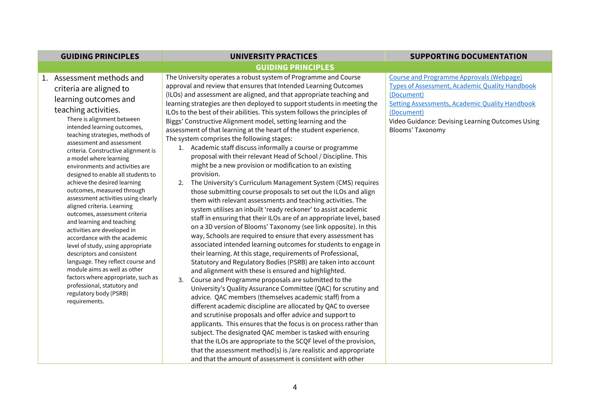| <b>GUIDING PRINCIPLES</b>                                                                                                                                                                                                                                                                                                                                                                                                                                                                                                                                                                                                                                                                                                                                                                                                                                                                            | <b>UNIVERSITY PRACTICES</b>                                                                                                                                                                                                                                                                                                                                                                                                                                                                                                                                                                                                                                                                                                                                                                                                                                                                                                                                                                                                                                                                                                                                                                                                                                                                                                                                                                                                                                                                                                                                                                                                                                                                                                                                                                                                                                                                                                                                                                                                                                                                                                                                                          | <b>SUPPORTING DOCUMENTATION</b>                                                                                                                                                                                                                                       |
|------------------------------------------------------------------------------------------------------------------------------------------------------------------------------------------------------------------------------------------------------------------------------------------------------------------------------------------------------------------------------------------------------------------------------------------------------------------------------------------------------------------------------------------------------------------------------------------------------------------------------------------------------------------------------------------------------------------------------------------------------------------------------------------------------------------------------------------------------------------------------------------------------|--------------------------------------------------------------------------------------------------------------------------------------------------------------------------------------------------------------------------------------------------------------------------------------------------------------------------------------------------------------------------------------------------------------------------------------------------------------------------------------------------------------------------------------------------------------------------------------------------------------------------------------------------------------------------------------------------------------------------------------------------------------------------------------------------------------------------------------------------------------------------------------------------------------------------------------------------------------------------------------------------------------------------------------------------------------------------------------------------------------------------------------------------------------------------------------------------------------------------------------------------------------------------------------------------------------------------------------------------------------------------------------------------------------------------------------------------------------------------------------------------------------------------------------------------------------------------------------------------------------------------------------------------------------------------------------------------------------------------------------------------------------------------------------------------------------------------------------------------------------------------------------------------------------------------------------------------------------------------------------------------------------------------------------------------------------------------------------------------------------------------------------------------------------------------------------|-----------------------------------------------------------------------------------------------------------------------------------------------------------------------------------------------------------------------------------------------------------------------|
|                                                                                                                                                                                                                                                                                                                                                                                                                                                                                                                                                                                                                                                                                                                                                                                                                                                                                                      | <b>GUIDING PRINCIPLES</b>                                                                                                                                                                                                                                                                                                                                                                                                                                                                                                                                                                                                                                                                                                                                                                                                                                                                                                                                                                                                                                                                                                                                                                                                                                                                                                                                                                                                                                                                                                                                                                                                                                                                                                                                                                                                                                                                                                                                                                                                                                                                                                                                                            |                                                                                                                                                                                                                                                                       |
| 1. Assessment methods and<br>criteria are aligned to<br>learning outcomes and<br>teaching activities.<br>There is alignment between<br>intended learning outcomes,<br>teaching strategies, methods of<br>assessment and assessment<br>criteria. Constructive alignment is<br>a model where learning<br>environments and activities are<br>designed to enable all students to<br>achieve the desired learning<br>outcomes, measured through<br>assessment activities using clearly<br>aligned criteria. Learning<br>outcomes, assessment criteria<br>and learning and teaching<br>activities are developed in<br>accordance with the academic<br>level of study, using appropriate<br>descriptors and consistent<br>language. They reflect course and<br>module aims as well as other<br>factors where appropriate, such as<br>professional, statutory and<br>regulatory body (PSRB)<br>requirements. | The University operates a robust system of Programme and Course<br>approval and review that ensures that Intended Learning Outcomes<br>(ILOs) and assessment are aligned, and that appropriate teaching and<br>learning strategies are then deployed to support students in meeting the<br>ILOs to the best of their abilities. This system follows the principles of<br>Biggs' Constructive Alignment model, setting learning and the<br>assessment of that learning at the heart of the student experience.<br>The system comprises the following stages:<br>1. Academic staff discuss informally a course or programme<br>proposal with their relevant Head of School / Discipline. This<br>might be a new provision or modification to an existing<br>provision.<br>2. The University's Curriculum Management System (CMS) requires<br>those submitting course proposals to set out the ILOs and align<br>them with relevant assessments and teaching activities. The<br>system utilises an inbuilt 'ready reckoner' to assist academic<br>staff in ensuring that their ILOs are of an appropriate level, based<br>on a 3D version of Blooms' Taxonomy (see link opposite). In this<br>way, Schools are required to ensure that every assessment has<br>associated intended learning outcomes for students to engage in<br>their learning. At this stage, requirements of Professional,<br>Statutory and Regulatory Bodies (PSRB) are taken into account<br>and alignment with these is ensured and highlighted.<br>Course and Programme proposals are submitted to the<br>3.<br>University's Quality Assurance Committee (QAC) for scrutiny and<br>advice. QAC members (themselves academic staff) from a<br>different academic discipline are allocated by QAC to oversee<br>and scrutinise proposals and offer advice and support to<br>applicants. This ensures that the focus is on process rather than<br>subject. The designated QAC member is tasked with ensuring<br>that the ILOs are appropriate to the SCQF level of the provision,<br>that the assessment method(s) is /are realistic and appropriate<br>and that the amount of assessment is consistent with other | <b>Course and Programme Approvals (Webpage)</b><br><b>Types of Assessment, Academic Quality Handbook</b><br>(Document)<br><b>Setting Assessments, Academic Quality Handbook</b><br>(Document)<br>Video Guidance: Devising Learning Outcomes Using<br>Blooms' Taxonomy |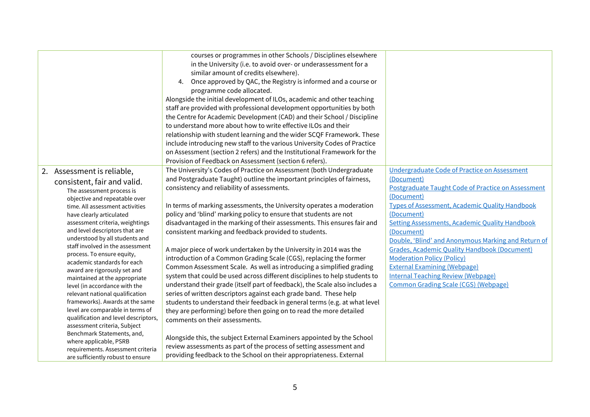|                                                                                                                                                                                                                                                                                                                                                                                                                                                                                                                                                                                                                                                                                                                  | courses or programmes in other Schools / Disciplines elsewhere<br>in the University (i.e. to avoid over- or underassessment for a<br>similar amount of credits elsewhere).<br>4. Once approved by QAC, the Registry is informed and a course or<br>programme code allocated.<br>Alongside the initial development of ILOs, academic and other teaching<br>staff are provided with professional development opportunities by both<br>the Centre for Academic Development (CAD) and their School / Discipline<br>to understand more about how to write effective ILOs and their<br>relationship with student learning and the wider SCQF Framework. These<br>include introducing new staff to the various University Codes of Practice<br>on Assessment (section 2 refers) and the Institutional Framework for the<br>Provision of Feedback on Assessment (section 6 refers).                                                                                                                                                                                                                                                                                                                             |                                                                                                                                                                                                                                                                                                                                                                                                                                                                                                                                                                    |
|------------------------------------------------------------------------------------------------------------------------------------------------------------------------------------------------------------------------------------------------------------------------------------------------------------------------------------------------------------------------------------------------------------------------------------------------------------------------------------------------------------------------------------------------------------------------------------------------------------------------------------------------------------------------------------------------------------------|---------------------------------------------------------------------------------------------------------------------------------------------------------------------------------------------------------------------------------------------------------------------------------------------------------------------------------------------------------------------------------------------------------------------------------------------------------------------------------------------------------------------------------------------------------------------------------------------------------------------------------------------------------------------------------------------------------------------------------------------------------------------------------------------------------------------------------------------------------------------------------------------------------------------------------------------------------------------------------------------------------------------------------------------------------------------------------------------------------------------------------------------------------------------------------------------------------|--------------------------------------------------------------------------------------------------------------------------------------------------------------------------------------------------------------------------------------------------------------------------------------------------------------------------------------------------------------------------------------------------------------------------------------------------------------------------------------------------------------------------------------------------------------------|
| 2. Assessment is reliable,<br>consistent, fair and valid.<br>The assessment process is<br>objective and repeatable over<br>time. All assessment activities<br>have clearly articulated<br>assessment criteria, weightings<br>and level descriptors that are<br>understood by all students and<br>staff involved in the assessment<br>process. To ensure equity,<br>academic standards for each<br>award are rigorously set and<br>maintained at the appropriate<br>level (in accordance with the<br>relevant national qualification<br>frameworks). Awards at the same<br>level are comparable in terms of<br>qualification and level descriptors,<br>assessment criteria, Subject<br>Benchmark Statements, and, | The University's Codes of Practice on Assessment (both Undergraduate<br>and Postgraduate Taught) outline the important principles of fairness,<br>consistency and reliability of assessments.<br>In terms of marking assessments, the University operates a moderation<br>policy and 'blind' marking policy to ensure that students are not<br>disadvantaged in the marking of their assessments. This ensures fair and<br>consistent marking and feedback provided to students.<br>A major piece of work undertaken by the University in 2014 was the<br>introduction of a Common Grading Scale (CGS), replacing the former<br>Common Assessment Scale. As well as introducing a simplified grading<br>system that could be used across different disciplines to help students to<br>understand their grade (itself part of feedback), the Scale also includes a<br>series of written descriptors against each grade band. These help<br>students to understand their feedback in general terms (e.g. at what level<br>they are performing) before then going on to read the more detailed<br>comments on their assessments.<br>Alongside this, the subject External Examiners appointed by the School | Undergraduate Code of Practice on Assessment<br>(Document)<br>Postgraduate Taught Code of Practice on Assessment<br>(Document)<br><b>Types of Assessment, Academic Quality Handbook</b><br>(Document)<br><b>Setting Assessments, Academic Quality Handbook</b><br>(Document)<br>Double, 'Blind' and Anonymous Marking and Return of<br><b>Grades, Academic Quality Handbook (Document)</b><br><b>Moderation Policy (Policy)</b><br><b>External Examining (Webpage)</b><br><b>Internal Teaching Review (Webpage)</b><br><b>Common Grading Scale (CGS) (Webpage)</b> |
| where applicable, PSRB<br>requirements. Assessment criteria<br>are sufficiently robust to ensure                                                                                                                                                                                                                                                                                                                                                                                                                                                                                                                                                                                                                 | review assessments as part of the process of setting assessment and<br>providing feedback to the School on their appropriateness. External                                                                                                                                                                                                                                                                                                                                                                                                                                                                                                                                                                                                                                                                                                                                                                                                                                                                                                                                                                                                                                                              |                                                                                                                                                                                                                                                                                                                                                                                                                                                                                                                                                                    |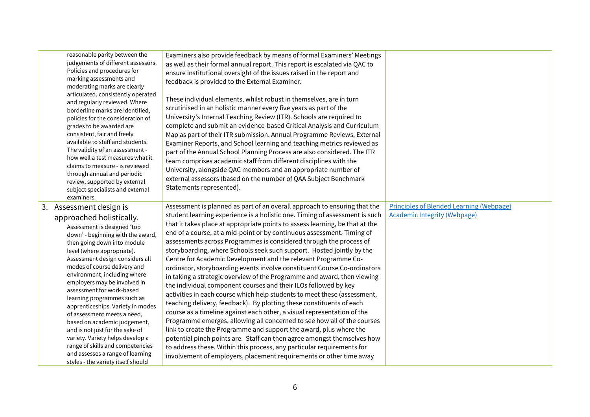| reasonable parity between the<br>judgements of different assessors.<br>Policies and procedures for<br>marking assessments and<br>moderating marks are clearly<br>articulated, consistently operated<br>and regularly reviewed. Where<br>borderline marks are identified,<br>policies for the consideration of<br>grades to be awarded are<br>consistent, fair and freely<br>available to staff and students.<br>The validity of an assessment -<br>how well a test measures what it<br>claims to measure - is reviewed<br>through annual and periodic<br>review, supported by external<br>subject specialists and external<br>examiners.                                     | Examiners also provide feedback by means of formal Examiners' Meetings<br>as well as their formal annual report. This report is escalated via QAC to<br>ensure institutional oversight of the issues raised in the report and<br>feedback is provided to the External Examiner.<br>These individual elements, whilst robust in themselves, are in turn<br>scrutinised in an holistic manner every five years as part of the<br>University's Internal Teaching Review (ITR). Schools are required to<br>complete and submit an evidence-based Critical Analysis and Curriculum<br>Map as part of their ITR submission. Annual Programme Reviews, External<br>Examiner Reports, and School learning and teaching metrics reviewed as<br>part of the Annual School Planning Process are also considered. The ITR<br>team comprises academic staff from different disciplines with the<br>University, alongside QAC members and an appropriate number of<br>external assessors (based on the number of QAA Subject Benchmark<br>Statements represented).                                                                                                                                                                                                                                                                                                                      |                                                                                        |
|------------------------------------------------------------------------------------------------------------------------------------------------------------------------------------------------------------------------------------------------------------------------------------------------------------------------------------------------------------------------------------------------------------------------------------------------------------------------------------------------------------------------------------------------------------------------------------------------------------------------------------------------------------------------------|---------------------------------------------------------------------------------------------------------------------------------------------------------------------------------------------------------------------------------------------------------------------------------------------------------------------------------------------------------------------------------------------------------------------------------------------------------------------------------------------------------------------------------------------------------------------------------------------------------------------------------------------------------------------------------------------------------------------------------------------------------------------------------------------------------------------------------------------------------------------------------------------------------------------------------------------------------------------------------------------------------------------------------------------------------------------------------------------------------------------------------------------------------------------------------------------------------------------------------------------------------------------------------------------------------------------------------------------------------------------------|----------------------------------------------------------------------------------------|
| 3. Assessment design is<br>approached holistically.<br>Assessment is designed 'top<br>down' - beginning with the award,<br>then going down into module<br>level (where appropriate).<br>Assessment design considers all<br>modes of course delivery and<br>environment, including where<br>employers may be involved in<br>assessment for work-based<br>learning programmes such as<br>apprenticeships. Variety in modes<br>of assessment meets a need,<br>based on academic judgement,<br>and is not just for the sake of<br>variety. Variety helps develop a<br>range of skills and competencies<br>and assesses a range of learning<br>styles - the variety itself should | Assessment is planned as part of an overall approach to ensuring that the<br>student learning experience is a holistic one. Timing of assessment is such<br>that it takes place at appropriate points to assess learning, be that at the<br>end of a course, at a mid-point or by continuous assessment. Timing of<br>assessments across Programmes is considered through the process of<br>storyboarding, where Schools seek such support. Hosted jointly by the<br>Centre for Academic Development and the relevant Programme Co-<br>ordinator, storyboarding events involve constituent Course Co-ordinators<br>in taking a strategic overview of the Programme and award, then viewing<br>the individual component courses and their ILOs followed by key<br>activities in each course which help students to meet these (assessment,<br>teaching delivery, feedback). By plotting these constituents of each<br>course as a timeline against each other, a visual representation of the<br>Programme emerges, allowing all concerned to see how all of the courses<br>link to create the Programme and support the award, plus where the<br>potential pinch points are. Staff can then agree amongst themselves how<br>to address these. Within this process, any particular requirements for<br>involvement of employers, placement requirements or other time away | <b>Principles of Blended Learning (Webpage)</b><br><b>Academic Integrity (Webpage)</b> |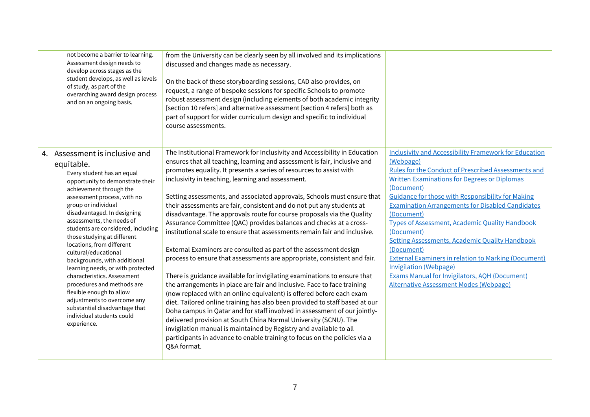| not become a barrier to learning.<br>Assessment design needs to<br>develop across stages as the<br>student develops, as well as levels<br>of study, as part of the<br>overarching award design process<br>and on an ongoing basis.                                                                                                                                                                                                                                                                                                                                                                                                                              | from the University can be clearly seen by all involved and its implications<br>discussed and changes made as necessary.<br>On the back of these storyboarding sessions, CAD also provides, on<br>request, a range of bespoke sessions for specific Schools to promote<br>robust assessment design (including elements of both academic integrity<br>[section 10 refers] and alternative assessment [section 4 refers] both as<br>part of support for wider curriculum design and specific to individual<br>course assessments.                                                                                                                                                                                                                                                                                                                                                                                                                                                                                                                                                                                                                                                                                                                                                                                                                                                                                                                        |                                                                                                                                                                                                                                                                                                                                                                                                                                                                                                                                                                                                                                                                                            |
|-----------------------------------------------------------------------------------------------------------------------------------------------------------------------------------------------------------------------------------------------------------------------------------------------------------------------------------------------------------------------------------------------------------------------------------------------------------------------------------------------------------------------------------------------------------------------------------------------------------------------------------------------------------------|--------------------------------------------------------------------------------------------------------------------------------------------------------------------------------------------------------------------------------------------------------------------------------------------------------------------------------------------------------------------------------------------------------------------------------------------------------------------------------------------------------------------------------------------------------------------------------------------------------------------------------------------------------------------------------------------------------------------------------------------------------------------------------------------------------------------------------------------------------------------------------------------------------------------------------------------------------------------------------------------------------------------------------------------------------------------------------------------------------------------------------------------------------------------------------------------------------------------------------------------------------------------------------------------------------------------------------------------------------------------------------------------------------------------------------------------------------|--------------------------------------------------------------------------------------------------------------------------------------------------------------------------------------------------------------------------------------------------------------------------------------------------------------------------------------------------------------------------------------------------------------------------------------------------------------------------------------------------------------------------------------------------------------------------------------------------------------------------------------------------------------------------------------------|
| 4. Assessment is inclusive and<br>equitable.<br>Every student has an equal<br>opportunity to demonstrate their<br>achievement through the<br>assessment process, with no<br>group or individual<br>disadvantaged. In designing<br>assessments, the needs of<br>students are considered, including<br>those studying at different<br>locations, from different<br>cultural/educational<br>backgrounds, with additional<br>learning needs, or with protected<br>characteristics. Assessment<br>procedures and methods are<br>flexible enough to allow<br>adjustments to overcome any<br>substantial disadvantage that<br>individual students could<br>experience. | The Institutional Framework for Inclusivity and Accessibility in Education<br>ensures that all teaching, learning and assessment is fair, inclusive and<br>promotes equality. It presents a series of resources to assist with<br>inclusivity in teaching, learning and assessment.<br>Setting assessments, and associated approvals, Schools must ensure that<br>their assessments are fair, consistent and do not put any students at<br>disadvantage. The approvals route for course proposals via the Quality<br>Assurance Committee (QAC) provides balances and checks at a cross-<br>institutional scale to ensure that assessments remain fair and inclusive.<br>External Examiners are consulted as part of the assessment design<br>process to ensure that assessments are appropriate, consistent and fair.<br>There is guidance available for invigilating examinations to ensure that<br>the arrangements in place are fair and inclusive. Face to face training<br>(now replaced with an online equivalent) is offered before each exam<br>diet. Tailored online training has also been provided to staff based at our<br>Doha campus in Qatar and for staff involved in assessment of our jointly-<br>delivered provision at South China Normal University (SCNU). The<br>invigilation manual is maintained by Registry and available to all<br>participants in advance to enable training to focus on the policies via a<br>Q&A format. | <b>Inclusivity and Accessibility Framework for Education</b><br>(Webpage)<br><b>Rules for the Conduct of Prescribed Assessments and</b><br><b>Written Examinations for Degrees or Diplomas</b><br>(Document)<br><b>Guidance for those with Responsibility for Making</b><br><b>Examination Arrangements for Disabled Candidates</b><br>(Document)<br>Types of Assessment, Academic Quality Handbook<br>(Document)<br><b>Setting Assessments, Academic Quality Handbook</b><br>(Document)<br><b>External Examiners in relation to Marking (Document)</b><br><b>Invigilation (Webpage)</b><br>Exams Manual for Invigilators, AQH (Document)<br><b>Alternative Assessment Modes (Webpage)</b> |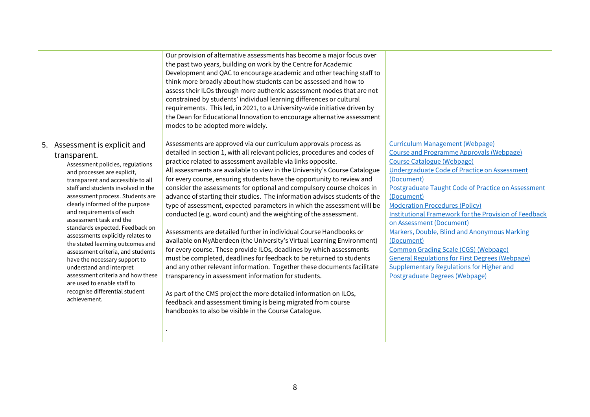|                                                                                                                                                                                                                                                                                                                                                                                                                                                                                                                                                                                                                                                               | Our provision of alternative assessments has become a major focus over<br>the past two years, building on work by the Centre for Academic<br>Development and QAC to encourage academic and other teaching staff to<br>think more broadly about how students can be assessed and how to<br>assess their ILOs through more authentic assessment modes that are not<br>constrained by students' individual learning differences or cultural<br>requirements. This led, in 2021, to a University-wide initiative driven by<br>the Dean for Educational Innovation to encourage alternative assessment<br>modes to be adopted more widely.                                                                                                                                                                                                                                                                                                                                                                                                                                                                                                                                                                                                                                                                           |                                                                                                                                                                                                                                                                                                                                                                                                                                                                                                                                                                                                                                                                   |
|---------------------------------------------------------------------------------------------------------------------------------------------------------------------------------------------------------------------------------------------------------------------------------------------------------------------------------------------------------------------------------------------------------------------------------------------------------------------------------------------------------------------------------------------------------------------------------------------------------------------------------------------------------------|-----------------------------------------------------------------------------------------------------------------------------------------------------------------------------------------------------------------------------------------------------------------------------------------------------------------------------------------------------------------------------------------------------------------------------------------------------------------------------------------------------------------------------------------------------------------------------------------------------------------------------------------------------------------------------------------------------------------------------------------------------------------------------------------------------------------------------------------------------------------------------------------------------------------------------------------------------------------------------------------------------------------------------------------------------------------------------------------------------------------------------------------------------------------------------------------------------------------------------------------------------------------------------------------------------------------|-------------------------------------------------------------------------------------------------------------------------------------------------------------------------------------------------------------------------------------------------------------------------------------------------------------------------------------------------------------------------------------------------------------------------------------------------------------------------------------------------------------------------------------------------------------------------------------------------------------------------------------------------------------------|
| 5. Assessment is explicit and<br>transparent.<br>Assessment policies, regulations<br>and processes are explicit,<br>transparent and accessible to all<br>staff and students involved in the<br>assessment process. Students are<br>clearly informed of the purpose<br>and requirements of each<br>assessment task and the<br>standards expected. Feedback on<br>assessments explicitly relates to<br>the stated learning outcomes and<br>assessment criteria, and students<br>have the necessary support to<br>understand and interpret<br>assessment criteria and how these<br>are used to enable staff to<br>recognise differential student<br>achievement. | Assessments are approved via our curriculum approvals process as<br>detailed in section 1, with all relevant policies, procedures and codes of<br>practice related to assessment available via links opposite.<br>All assessments are available to view in the University's Course Catalogue<br>for every course, ensuring students have the opportunity to review and<br>consider the assessments for optional and compulsory course choices in<br>advance of starting their studies. The information advises students of the<br>type of assessment, expected parameters in which the assessment will be<br>conducted (e.g. word count) and the weighting of the assessment.<br>Assessments are detailed further in individual Course Handbooks or<br>available on MyAberdeen (the University's Virtual Learning Environment)<br>for every course. These provide ILOs, deadlines by which assessments<br>must be completed, deadlines for feedback to be returned to students<br>and any other relevant information. Together these documents facilitate<br>transparency in assessment information for students.<br>As part of the CMS project the more detailed information on ILOs,<br>feedback and assessment timing is being migrated from course<br>handbooks to also be visible in the Course Catalogue. | <b>Curriculum Management (Webpage)</b><br><b>Course and Programme Approvals (Webpage)</b><br><b>Course Catalogue (Webpage)</b><br>Undergraduate Code of Practice on Assessment<br>(Document)<br>Postgraduate Taught Code of Practice on Assessment<br>(Document)<br><b>Moderation Procedures (Policy)</b><br><b>Institutional Framework for the Provision of Feedback</b><br>on Assessment (Document)<br>Markers, Double, Blind and Anonymous Marking<br>(Document)<br><b>Common Grading Scale (CGS) (Webpage)</b><br><b>General Regulations for First Degrees (Webpage)</b><br><b>Supplementary Regulations for Higher and</b><br>Postgraduate Degrees (Webpage) |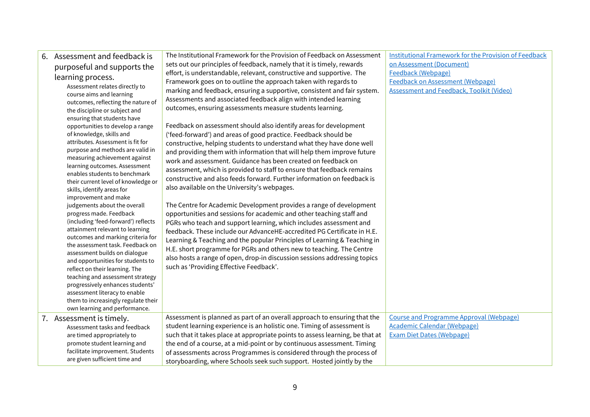| Assessment and feedback is<br>6.                                    | The Institutional Framework for the Provision of Feedback on Assessment       | <b>Institutional Framework for the Provision of Feedback</b> |
|---------------------------------------------------------------------|-------------------------------------------------------------------------------|--------------------------------------------------------------|
| purposeful and supports the                                         | sets out our principles of feedback, namely that it is timely, rewards        | on Assessment (Document)                                     |
| learning process.                                                   | effort, is understandable, relevant, constructive and supportive. The         | Feedback (Webpage)                                           |
| Assessment relates directly to                                      | Framework goes on to outline the approach taken with regards to               | Feedback on Assessment (Webpage)                             |
| course aims and learning                                            | marking and feedback, ensuring a supportive, consistent and fair system.      | <b>Assessment and Feedback, Toolkit (Video)</b>              |
| outcomes, reflecting the nature of                                  | Assessments and associated feedback align with intended learning              |                                                              |
| the discipline or subject and                                       | outcomes, ensuring assessments measure students learning.                     |                                                              |
| ensuring that students have                                         |                                                                               |                                                              |
| opportunities to develop a range                                    | Feedback on assessment should also identify areas for development             |                                                              |
| of knowledge, skills and                                            | ('feed-forward') and areas of good practice. Feedback should be               |                                                              |
| attributes. Assessment is fit for                                   | constructive, helping students to understand what they have done well         |                                                              |
| purpose and methods are valid in                                    | and providing them with information that will help them improve future        |                                                              |
| measuring achievement against<br>learning outcomes. Assessment      | work and assessment. Guidance has been created on feedback on                 |                                                              |
| enables students to benchmark                                       | assessment, which is provided to staff to ensure that feedback remains        |                                                              |
| their current level of knowledge or                                 | constructive and also feeds forward. Further information on feedback is       |                                                              |
| skills, identify areas for                                          | also available on the University's webpages.                                  |                                                              |
| improvement and make                                                |                                                                               |                                                              |
| judgements about the overall                                        | The Centre for Academic Development provides a range of development           |                                                              |
| progress made. Feedback                                             | opportunities and sessions for academic and other teaching staff and          |                                                              |
| (including 'feed-forward') reflects                                 | PGRs who teach and support learning, which includes assessment and            |                                                              |
| attainment relevant to learning                                     | feedback. These include our AdvanceHE-accredited PG Certificate in H.E.       |                                                              |
| outcomes and marking criteria for                                   | Learning & Teaching and the popular Principles of Learning & Teaching in      |                                                              |
| the assessment task. Feedback on                                    | H.E. short programme for PGRs and others new to teaching. The Centre          |                                                              |
| assessment builds on dialogue                                       | also hosts a range of open, drop-in discussion sessions addressing topics     |                                                              |
| and opportunities for students to<br>reflect on their learning. The | such as 'Providing Effective Feedback'.                                       |                                                              |
| teaching and assessment strategy                                    |                                                                               |                                                              |
| progressively enhances students'                                    |                                                                               |                                                              |
| assessment literacy to enable                                       |                                                                               |                                                              |
| them to increasingly regulate their                                 |                                                                               |                                                              |
| own learning and performance.                                       |                                                                               |                                                              |
| 7. Assessment is timely.                                            | Assessment is planned as part of an overall approach to ensuring that the     | <b>Course and Programme Approval (Webpage)</b>               |
| Assessment tasks and feedback                                       | student learning experience is an holistic one. Timing of assessment is       | Academic Calendar (Webpage)                                  |
| are timed appropriately to                                          | such that it takes place at appropriate points to assess learning, be that at | <b>Exam Diet Dates (Webpage)</b>                             |
| promote student learning and                                        | the end of a course, at a mid-point or by continuous assessment. Timing       |                                                              |
| facilitate improvement. Students                                    | of assessments across Programmes is considered through the process of         |                                                              |
| are given sufficient time and                                       | storyboarding, where Schools seek such support. Hosted jointly by the         |                                                              |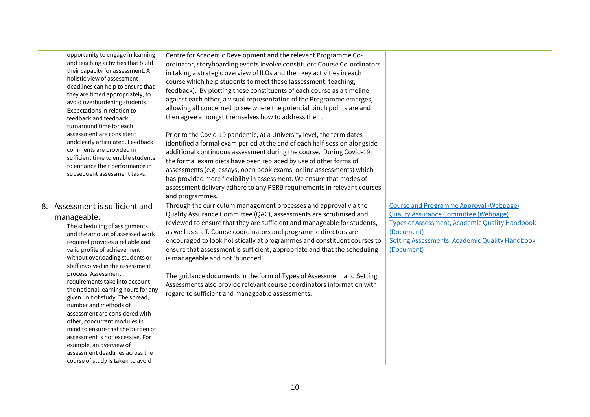|    | opportunity to engage in learning<br>and teaching activities that build<br>their capacity for assessment. A<br>holistic view of assessment<br>deadlines can help to ensure that<br>they are timed appropriately, to<br>avoid overburdening students.<br>Expectations in relation to<br>feedback and feedback<br>turnaround time for each<br>assessment are consistent<br>andclearly articulated. Feedback<br>comments are provided in<br>sufficient time to enable students<br>to enhance their performance in<br>subsequent assessment tasks.                                                                                                                        | Centre for Academic Development and the relevant Programme Co-<br>ordinator, storyboarding events involve constituent Course Co-ordinators<br>in taking a strategic overview of ILOs and then key activities in each<br>course which help students to meet these (assessment, teaching,<br>feedback). By plotting these constituents of each course as a timeline<br>against each other, a visual representation of the Programme emerges,<br>allowing all concerned to see where the potential pinch points are and<br>then agree amongst themselves how to address them.<br>Prior to the Covid-19 pandemic, at a University level, the term dates<br>identified a formal exam period at the end of each half-session alongside<br>additional continuous assessment during the course. During Covid-19,<br>the formal exam diets have been replaced by use of other forms of<br>assessments (e.g. essays, open book exams, online assessments) which<br>has provided more flexibility in assessment. We ensure that modes of<br>assessment delivery adhere to any PSRB requirements in relevant courses<br>and programmes. |                                                                                                                                                                                                                                              |
|----|-----------------------------------------------------------------------------------------------------------------------------------------------------------------------------------------------------------------------------------------------------------------------------------------------------------------------------------------------------------------------------------------------------------------------------------------------------------------------------------------------------------------------------------------------------------------------------------------------------------------------------------------------------------------------|-----------------------------------------------------------------------------------------------------------------------------------------------------------------------------------------------------------------------------------------------------------------------------------------------------------------------------------------------------------------------------------------------------------------------------------------------------------------------------------------------------------------------------------------------------------------------------------------------------------------------------------------------------------------------------------------------------------------------------------------------------------------------------------------------------------------------------------------------------------------------------------------------------------------------------------------------------------------------------------------------------------------------------------------------------------------------------------------------------------------------------|----------------------------------------------------------------------------------------------------------------------------------------------------------------------------------------------------------------------------------------------|
| 8. | Assessment is sufficient and<br>manageable.<br>The scheduling of assignments<br>and the amount of assessed work<br>required provides a reliable and<br>valid profile of achievement<br>without overloading students or<br>staff involved in the assessment<br>process. Assessment<br>requirements take into account<br>the notional learning hours for any<br>given unit of study. The spread,<br>number and methods of<br>assessment are considered with<br>other, concurrent modules in<br>mind to ensure that the burden of<br>assessment is not excessive. For<br>example, an overview of<br>assessment deadlines across the<br>course of study is taken to avoid | Through the curriculum management processes and approval via the<br>Quality Assurance Committee (QAC), assessments are scrutinised and<br>reviewed to ensure that they are sufficient and manageable for students,<br>as well as staff. Course coordinators and programme directors are<br>encouraged to look holistically at programmes and constituent courses to<br>ensure that assessment is sufficient, appropriate and that the scheduling<br>is manageable and not 'bunched'.<br>The guidance documents in the form of Types of Assessment and Setting<br>Assessments also provide relevant course coordinators information with<br>regard to sufficient and manageable assessments.                                                                                                                                                                                                                                                                                                                                                                                                                                 | <b>Course and Programme Approval (Webpage)</b><br><b>Ouality Assurance Committee (Webpage)</b><br><b>Types of Assessment, Academic Quality Handbook</b><br>(Document)<br><b>Setting Assessments, Academic Quality Handbook</b><br>(Document) |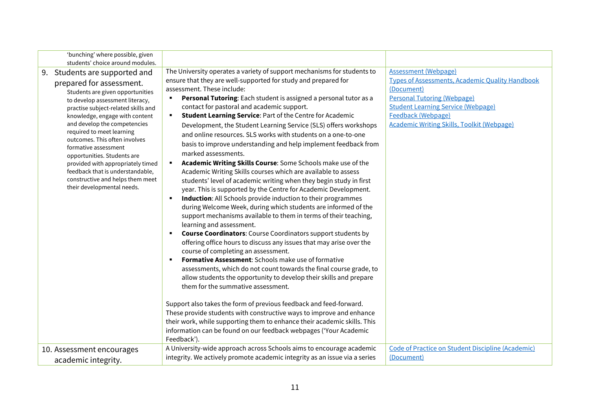| 'bunching' where possible, given<br>students' choice around modules.                                                                                                                                                                                                                                                                                                                                                                                                                                         |                                                                                                                                                                                                                                                                                                                                                                                                                                                                                                                                                                                                                                                                                                                                                                                                                                                                                                                                                                                                                                                                                                                                                                                                                                                                                                                                                                                                                                                                                                                                                                                                                                                                                                                                                                                                                                                                                                                              |                                                                                                                                                                                                                                                                   |
|--------------------------------------------------------------------------------------------------------------------------------------------------------------------------------------------------------------------------------------------------------------------------------------------------------------------------------------------------------------------------------------------------------------------------------------------------------------------------------------------------------------|------------------------------------------------------------------------------------------------------------------------------------------------------------------------------------------------------------------------------------------------------------------------------------------------------------------------------------------------------------------------------------------------------------------------------------------------------------------------------------------------------------------------------------------------------------------------------------------------------------------------------------------------------------------------------------------------------------------------------------------------------------------------------------------------------------------------------------------------------------------------------------------------------------------------------------------------------------------------------------------------------------------------------------------------------------------------------------------------------------------------------------------------------------------------------------------------------------------------------------------------------------------------------------------------------------------------------------------------------------------------------------------------------------------------------------------------------------------------------------------------------------------------------------------------------------------------------------------------------------------------------------------------------------------------------------------------------------------------------------------------------------------------------------------------------------------------------------------------------------------------------------------------------------------------------|-------------------------------------------------------------------------------------------------------------------------------------------------------------------------------------------------------------------------------------------------------------------|
| Students are supported and<br>9.<br>prepared for assessment.<br>Students are given opportunities<br>to develop assessment literacy,<br>practise subject-related skills and<br>knowledge, engage with content<br>and develop the competencies<br>required to meet learning<br>outcomes. This often involves<br>formative assessment<br>opportunities. Students are<br>provided with appropriately timed<br>feedback that is understandable,<br>constructive and helps them meet<br>their developmental needs. | The University operates a variety of support mechanisms for students to<br>ensure that they are well-supported for study and prepared for<br>assessment. These include:<br>Personal Tutoring: Each student is assigned a personal tutor as a<br>$\blacksquare$<br>contact for pastoral and academic support.<br><b>Student Learning Service: Part of the Centre for Academic</b><br>٠<br>Development, the Student Learning Service (SLS) offers workshops<br>and online resources. SLS works with students on a one-to-one<br>basis to improve understanding and help implement feedback from<br>marked assessments.<br>Academic Writing Skills Course: Some Schools make use of the<br>Academic Writing Skills courses which are available to assess<br>students' level of academic writing when they begin study in first<br>year. This is supported by the Centre for Academic Development.<br>Induction: All Schools provide induction to their programmes<br>٠<br>during Welcome Week, during which students are informed of the<br>support mechanisms available to them in terms of their teaching,<br>learning and assessment.<br><b>Course Coordinators:</b> Course Coordinators support students by<br>$\blacksquare$<br>offering office hours to discuss any issues that may arise over the<br>course of completing an assessment.<br><b>Formative Assessment:</b> Schools make use of formative<br>$\blacksquare$<br>assessments, which do not count towards the final course grade, to<br>allow students the opportunity to develop their skills and prepare<br>them for the summative assessment.<br>Support also takes the form of previous feedback and feed-forward.<br>These provide students with constructive ways to improve and enhance<br>their work, while supporting them to enhance their academic skills. This<br>information can be found on our feedback webpages ('Your Academic<br>Feedback'). | <b>Assessment (Webpage)</b><br><b>Types of Assessments, Academic Quality Handbook</b><br>(Document)<br><b>Personal Tutoring (Webpage)</b><br><b>Student Learning Service (Webpage)</b><br>Feedback (Webpage)<br><b>Academic Writing Skills, Toolkit (Webpage)</b> |
| 10. Assessment encourages<br>academic integrity.                                                                                                                                                                                                                                                                                                                                                                                                                                                             | A University-wide approach across Schools aims to encourage academic<br>integrity. We actively promote academic integrity as an issue via a series                                                                                                                                                                                                                                                                                                                                                                                                                                                                                                                                                                                                                                                                                                                                                                                                                                                                                                                                                                                                                                                                                                                                                                                                                                                                                                                                                                                                                                                                                                                                                                                                                                                                                                                                                                           | Code of Practice on Student Discipline (Academic)<br>(Document)                                                                                                                                                                                                   |